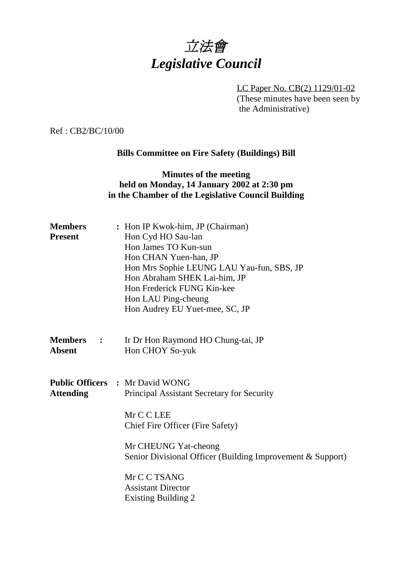

LC Paper No. CB(2) 1129/01-02 (These minutes have been seen by the Administrative)

Ref : CB2/BC/10/00

## **Bills Committee on Fire Safety (Buildings) Bill**

## **Minutes of the meeting held on Monday, 14 January 2002 at 2:30 pm in the Chamber of the Legislative Council Building**

| <b>Members</b><br><b>Present</b>  | : Hon IP Kwok-him, JP (Chairman)<br>Hon Cyd HO Sau-lan<br>Hon James TO Kun-sun<br>Hon CHAN Yuen-han, JP<br>Hon Mrs Sophie LEUNG LAU Yau-fun, SBS, JP<br>Hon Abraham SHEK Lai-him, JP<br>Hon Frederick FUNG Kin-kee<br>Hon LAU Ping-cheung<br>Hon Audrey EU Yuet-mee, SC, JP |
|-----------------------------------|-----------------------------------------------------------------------------------------------------------------------------------------------------------------------------------------------------------------------------------------------------------------------------|
| <b>Members</b> :<br><b>Absent</b> | Ir Dr Hon Raymond HO Chung-tai, JP<br>Hon CHOY So-yuk                                                                                                                                                                                                                       |
| <b>Attending</b>                  | <b>Public Officers : Mr David WONG</b><br>Principal Assistant Secretary for Security<br>Mr C C LEE<br>Chief Fire Officer (Fire Safety)                                                                                                                                      |
|                                   | Mr CHEUNG Yat-cheong<br>Senior Divisional Officer (Building Improvement & Support)                                                                                                                                                                                          |
|                                   | Mr C C TSANG<br><b>Assistant Director</b><br><b>Existing Building 2</b>                                                                                                                                                                                                     |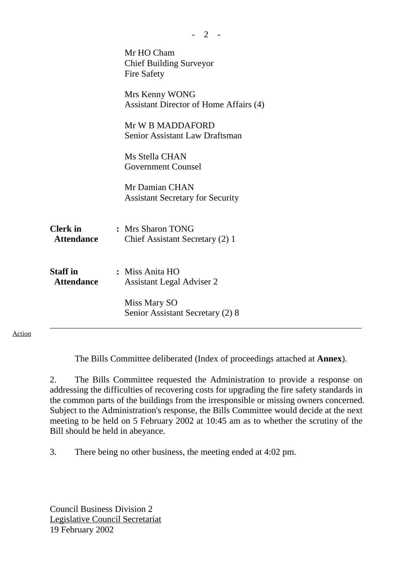|                                      | Mr HO Cham<br><b>Chief Building Surveyor</b><br>Fire Safety |
|--------------------------------------|-------------------------------------------------------------|
|                                      | Mrs Kenny WONG<br>Assistant Director of Home Affairs (4)    |
|                                      | Mr W B MADDAFORD<br>Senior Assistant Law Draftsman          |
|                                      | Ms Stella CHAN<br><b>Government Counsel</b>                 |
|                                      | Mr Damian CHAN<br><b>Assistant Secretary for Security</b>   |
| <b>Clerk</b> in<br><b>Attendance</b> | : Mrs Sharon TONG<br>Chief Assistant Secretary (2) 1        |
| <b>Staff</b> in<br><b>Attendance</b> | : Miss Anita HO<br><b>Assistant Legal Adviser 2</b>         |
|                                      | Miss Mary SO<br>Senior Assistant Secretary (2) 8            |

Action

The Bills Committee deliberated (Index of proceedings attached at **Annex**).

 $- 2 -$ 

2. The Bills Committee requested the Administration to provide a response on addressing the difficulties of recovering costs for upgrading the fire safety standards in the common parts of the buildings from the irresponsible or missing owners concerned. Subject to the Administration's response, the Bills Committee would decide at the next meeting to be held on 5 February 2002 at 10:45 am as to whether the scrutiny of the Bill should be held in abeyance.

3. There being no other business, the meeting ended at 4:02 pm.

Council Business Division 2 Legislative Council Secretariat 19 February 2002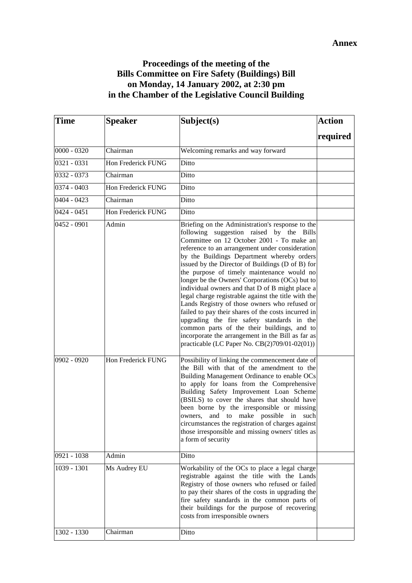## **Proceedings of the meeting of the Bills Committee on Fire Safety (Buildings) Bill on Monday, 14 January 2002, at 2:30 pm in the Chamber of the Legislative Council Building**

| <b>Time</b>   | <b>Speaker</b>     | Subject(s)                                                                                                                                                                                                                                                                                                                                                                                                                                                                                                                                                                                                                                                                                                                                                                                                           | <b>Action</b> |
|---------------|--------------------|----------------------------------------------------------------------------------------------------------------------------------------------------------------------------------------------------------------------------------------------------------------------------------------------------------------------------------------------------------------------------------------------------------------------------------------------------------------------------------------------------------------------------------------------------------------------------------------------------------------------------------------------------------------------------------------------------------------------------------------------------------------------------------------------------------------------|---------------|
|               |                    |                                                                                                                                                                                                                                                                                                                                                                                                                                                                                                                                                                                                                                                                                                                                                                                                                      | required      |
| $0000 - 0320$ | Chairman           | Welcoming remarks and way forward                                                                                                                                                                                                                                                                                                                                                                                                                                                                                                                                                                                                                                                                                                                                                                                    |               |
| 0321 - 0331   | Hon Frederick FUNG | Ditto                                                                                                                                                                                                                                                                                                                                                                                                                                                                                                                                                                                                                                                                                                                                                                                                                |               |
| $0332 - 0373$ | Chairman           | Ditto                                                                                                                                                                                                                                                                                                                                                                                                                                                                                                                                                                                                                                                                                                                                                                                                                |               |
| 0374 - 0403   | Hon Frederick FUNG | Ditto                                                                                                                                                                                                                                                                                                                                                                                                                                                                                                                                                                                                                                                                                                                                                                                                                |               |
| 0404 - 0423   | Chairman           | Ditto                                                                                                                                                                                                                                                                                                                                                                                                                                                                                                                                                                                                                                                                                                                                                                                                                |               |
| $0424 - 0451$ | Hon Frederick FUNG | Ditto                                                                                                                                                                                                                                                                                                                                                                                                                                                                                                                                                                                                                                                                                                                                                                                                                |               |
| $0452 - 0901$ | Admin              | Briefing on the Administration's response to the<br>following suggestion raised by the Bills<br>Committee on 12 October 2001 - To make an<br>reference to an arrangement under consideration<br>by the Buildings Department whereby orders<br>issued by the Director of Buildings (D of B) for<br>the purpose of timely maintenance would no<br>longer be the Owners' Corporations (OCs) but to<br>individual owners and that D of B might place a<br>legal charge registrable against the title with the<br>Lands Registry of those owners who refused or<br>failed to pay their shares of the costs incurred in<br>upgrading the fire safety standards in the<br>common parts of the their buildings, and to<br>incorporate the arrangement in the Bill as far as<br>practicable (LC Paper No. CB(2)709/01-02(01)) |               |
| 0902 - 0920   | Hon Frederick FUNG | Possibility of linking the commencement date of<br>the Bill with that of the amendment to the<br>Building Management Ordinance to enable OCs<br>to apply for loans from the Comprehensive<br>Building Safety Improvement Loan Scheme<br>(BSILS) to cover the shares that should have<br>been borne by the irresponsible or missing<br>and to make possible in such<br>owners,<br>circumstances the registration of charges against<br>those irresponsible and missing owners' titles as<br>a form of security                                                                                                                                                                                                                                                                                                        |               |
| 0921 - 1038   | Admin              | Ditto                                                                                                                                                                                                                                                                                                                                                                                                                                                                                                                                                                                                                                                                                                                                                                                                                |               |
| 1039 - 1301   | Ms Audrey EU       | Workability of the OCs to place a legal charge<br>registrable against the title with the Lands<br>Registry of those owners who refused or failed<br>to pay their shares of the costs in upgrading the<br>fire safety standards in the common parts of<br>their buildings for the purpose of recovering<br>costs from irresponsible owners                                                                                                                                                                                                                                                                                                                                                                                                                                                                            |               |
| 1302 - 1330   | Chairman           | Ditto                                                                                                                                                                                                                                                                                                                                                                                                                                                                                                                                                                                                                                                                                                                                                                                                                |               |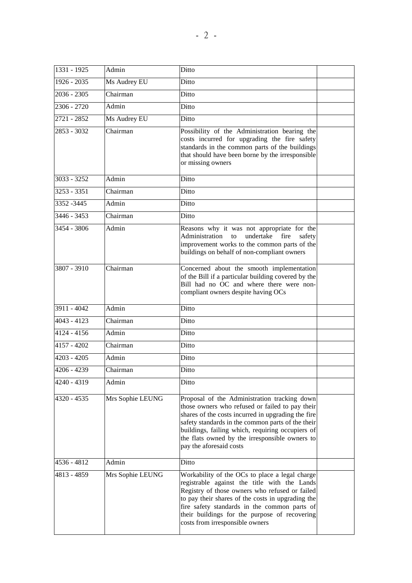| 1331 - 1925   | Admin            | Ditto                                                                                                                                                                                                                                                                                                                                       |  |
|---------------|------------------|---------------------------------------------------------------------------------------------------------------------------------------------------------------------------------------------------------------------------------------------------------------------------------------------------------------------------------------------|--|
| 1926 - 2035   | Ms Audrey EU     | Ditto                                                                                                                                                                                                                                                                                                                                       |  |
| 2036 - 2305   | Chairman         | Ditto                                                                                                                                                                                                                                                                                                                                       |  |
| $2306 - 2720$ | Admin            | Ditto                                                                                                                                                                                                                                                                                                                                       |  |
| 2721 - 2852   | Ms Audrey EU     | Ditto                                                                                                                                                                                                                                                                                                                                       |  |
| 2853 - 3032   | Chairman         | Possibility of the Administration bearing the<br>costs incurred for upgrading the fire safety<br>standards in the common parts of the buildings<br>that should have been borne by the irresponsible<br>or missing owners                                                                                                                    |  |
| $3033 - 3252$ | Admin            | Ditto                                                                                                                                                                                                                                                                                                                                       |  |
| $3253 - 3351$ | Chairman         | Ditto                                                                                                                                                                                                                                                                                                                                       |  |
| 3352 - 3445   | Admin            | Ditto                                                                                                                                                                                                                                                                                                                                       |  |
| 3446 - 3453   | Chairman         | Ditto                                                                                                                                                                                                                                                                                                                                       |  |
| 3454 - 3806   | Admin            | Reasons why it was not appropriate for the<br>undertake<br>Administration to<br>fire<br>safety<br>improvement works to the common parts of the<br>buildings on behalf of non-compliant owners                                                                                                                                               |  |
| 3807 - 3910   | Chairman         | Concerned about the smooth implementation<br>of the Bill if a particular building covered by the<br>Bill had no OC and where there were non-<br>compliant owners despite having OCs                                                                                                                                                         |  |
| $3911 - 4042$ | Admin            | Ditto                                                                                                                                                                                                                                                                                                                                       |  |
| $4043 - 4123$ | Chairman         | Ditto                                                                                                                                                                                                                                                                                                                                       |  |
| 4124 - 4156   | Admin            | Ditto                                                                                                                                                                                                                                                                                                                                       |  |
| 4157 - 4202   | Chairman         | Ditto                                                                                                                                                                                                                                                                                                                                       |  |
| $4203 - 4205$ | Admin            | Ditto                                                                                                                                                                                                                                                                                                                                       |  |
| 4206 - 4239   | Chairman         | Ditto                                                                                                                                                                                                                                                                                                                                       |  |
| 4240 - 4319   | Admin            | Ditto                                                                                                                                                                                                                                                                                                                                       |  |
| 4320 - 4535   | Mrs Sophie LEUNG | Proposal of the Administration tracking down<br>those owners who refused or failed to pay their<br>shares of the costs incurred in upgrading the fire<br>safety standards in the common parts of the their<br>buildings, failing which, requiring occupiers of<br>the flats owned by the irresponsible owners to<br>pay the aforesaid costs |  |
| 4536 - 4812   | Admin            | Ditto                                                                                                                                                                                                                                                                                                                                       |  |
| 4813 - 4859   | Mrs Sophie LEUNG | Workability of the OCs to place a legal charge<br>registrable against the title with the Lands<br>Registry of those owners who refused or failed<br>to pay their shares of the costs in upgrading the<br>fire safety standards in the common parts of<br>their buildings for the purpose of recovering<br>costs from irresponsible owners   |  |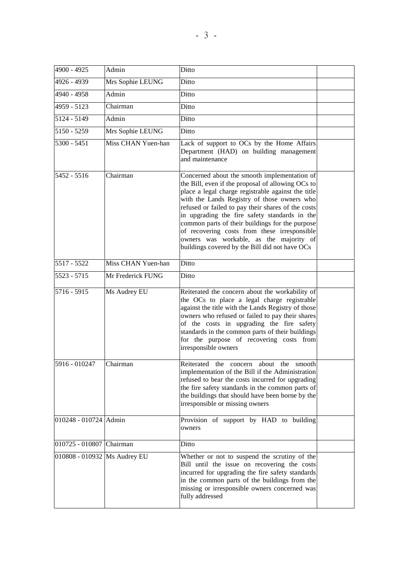| 4900 - 4925                    | Admin              | Ditto                                                                                                                                                                                                                                                                                                                                                                                                                                                                                                         |  |
|--------------------------------|--------------------|---------------------------------------------------------------------------------------------------------------------------------------------------------------------------------------------------------------------------------------------------------------------------------------------------------------------------------------------------------------------------------------------------------------------------------------------------------------------------------------------------------------|--|
| 4926 - 4939                    | Mrs Sophie LEUNG   | Ditto                                                                                                                                                                                                                                                                                                                                                                                                                                                                                                         |  |
| 4940 - 4958                    | Admin              | Ditto                                                                                                                                                                                                                                                                                                                                                                                                                                                                                                         |  |
| 4959 - 5123                    | Chairman           | Ditto                                                                                                                                                                                                                                                                                                                                                                                                                                                                                                         |  |
| 5124 - 5149                    | Admin              | Ditto                                                                                                                                                                                                                                                                                                                                                                                                                                                                                                         |  |
| 5150 - 5259                    | Mrs Sophie LEUNG   | Ditto                                                                                                                                                                                                                                                                                                                                                                                                                                                                                                         |  |
| 5300 - 5451                    | Miss CHAN Yuen-han | Lack of support to OCs by the Home Affairs<br>Department (HAD) on building management<br>and maintenance                                                                                                                                                                                                                                                                                                                                                                                                      |  |
| 5452 - 5516                    | Chairman           | Concerned about the smooth implementation of<br>the Bill, even if the proposal of allowing OCs to<br>place a legal charge registrable against the title<br>with the Lands Registry of those owners who<br>refused or failed to pay their shares of the costs<br>in upgrading the fire safety standards in the<br>common parts of their buildings for the purpose<br>of recovering costs from these irresponsible<br>owners was workable, as the majority of<br>buildings covered by the Bill did not have OCs |  |
| 5517 - 5522                    | Miss CHAN Yuen-han | Ditto                                                                                                                                                                                                                                                                                                                                                                                                                                                                                                         |  |
| 5523 - 5715                    | Mr Frederick FUNG  | Ditto                                                                                                                                                                                                                                                                                                                                                                                                                                                                                                         |  |
| 5716 - 5915                    | Ms Audrey EU       | Reiterated the concern about the workability of<br>the OCs to place a legal charge registrable<br>against the title with the Lands Registry of those<br>owners who refused or failed to pay their shares<br>of the costs in upgrading the fire safety<br>standards in the common parts of their buildings<br>for the purpose of recovering costs from<br>irresponsible owners                                                                                                                                 |  |
| 5916 - 010247                  | Chairman           | Reiterated<br>the<br>about<br>concern<br>the<br>smooth<br>implementation of the Bill if the Administration<br>refused to bear the costs incurred for upgrading<br>the fire safety standards in the common parts of<br>the buildings that should have been borne by the<br>irresponsible or missing owners                                                                                                                                                                                                     |  |
| 010248 - 010724 Admin          |                    | Provision of support by HAD to building<br>owners                                                                                                                                                                                                                                                                                                                                                                                                                                                             |  |
| 010725 - 010807 Chairman       |                    | Ditto                                                                                                                                                                                                                                                                                                                                                                                                                                                                                                         |  |
| 010808 - 010932   Ms Audrey EU |                    | Whether or not to suspend the scrutiny of the<br>Bill until the issue on recovering the costs<br>incurred for upgrading the fire safety standards<br>in the common parts of the buildings from the<br>missing or irresponsible owners concerned was<br>fully addressed                                                                                                                                                                                                                                        |  |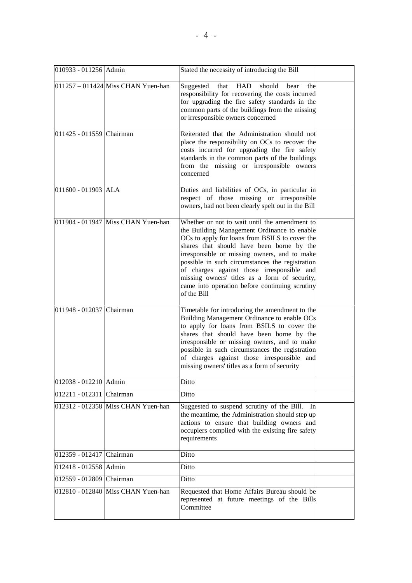| 010933 - 011256 Admin    |                                    | Stated the necessity of introducing the Bill                                                                                                                                                                                                                                                                                                                                                                                                                   |  |
|--------------------------|------------------------------------|----------------------------------------------------------------------------------------------------------------------------------------------------------------------------------------------------------------------------------------------------------------------------------------------------------------------------------------------------------------------------------------------------------------------------------------------------------------|--|
|                          | 011257 - 011424 Miss CHAN Yuen-han | Suggested<br>should<br>that<br>HAD<br>the<br>bear<br>responsibility for recovering the costs incurred<br>for upgrading the fire safety standards in the<br>common parts of the buildings from the missing<br>or irresponsible owners concerned                                                                                                                                                                                                                 |  |
| 011425 - 011559 Chairman |                                    | Reiterated that the Administration should not<br>place the responsibility on OCs to recover the<br>costs incurred for upgrading the fire safety<br>standards in the common parts of the buildings<br>from the missing or irresponsible owners<br>concerned                                                                                                                                                                                                     |  |
| 011600 - 011903 ALA      |                                    | Duties and liabilities of OCs, in particular in<br>respect of those missing or irresponsible<br>owners, had not been clearly spelt out in the Bill                                                                                                                                                                                                                                                                                                             |  |
|                          | 011904 - 011947 Miss CHAN Yuen-han | Whether or not to wait until the amendment to<br>the Building Management Ordinance to enable<br>OCs to apply for loans from BSILS to cover the<br>shares that should have been borne by the<br>irresponsible or missing owners, and to make<br>possible in such circumstances the registration<br>of charges against those irresponsible and<br>missing owners' titles as a form of security,<br>came into operation before continuing scrutiny<br>of the Bill |  |
| 011948 - 012037 Chairman |                                    | Timetable for introducing the amendment to the<br>Building Management Ordinance to enable OCs<br>to apply for loans from BSILS to cover the<br>shares that should have been borne by the<br>irresponsible or missing owners, and to make<br>possible in such circumstances the registration<br>of charges against those irresponsible and<br>missing owners' titles as a form of security                                                                      |  |
| 012038 - 012210 Admin    |                                    | Ditto                                                                                                                                                                                                                                                                                                                                                                                                                                                          |  |
| 012211 - 012311 Chairman |                                    | Ditto                                                                                                                                                                                                                                                                                                                                                                                                                                                          |  |
|                          | 012312 - 012358 Miss CHAN Yuen-han | Suggested to suspend scrutiny of the Bill. In<br>the meantime, the Administration should step up<br>actions to ensure that building owners and<br>occupiers complied with the existing fire safety<br>requirements                                                                                                                                                                                                                                             |  |
| 012359 - 012417 Chairman |                                    | Ditto                                                                                                                                                                                                                                                                                                                                                                                                                                                          |  |
| 012418 - 012558 Admin    |                                    | Ditto                                                                                                                                                                                                                                                                                                                                                                                                                                                          |  |
| 012559 - 012809 Chairman |                                    | Ditto                                                                                                                                                                                                                                                                                                                                                                                                                                                          |  |
|                          | 012810 - 012840 Miss CHAN Yuen-han | Requested that Home Affairs Bureau should be<br>represented at future meetings of the Bills<br>Committee                                                                                                                                                                                                                                                                                                                                                       |  |